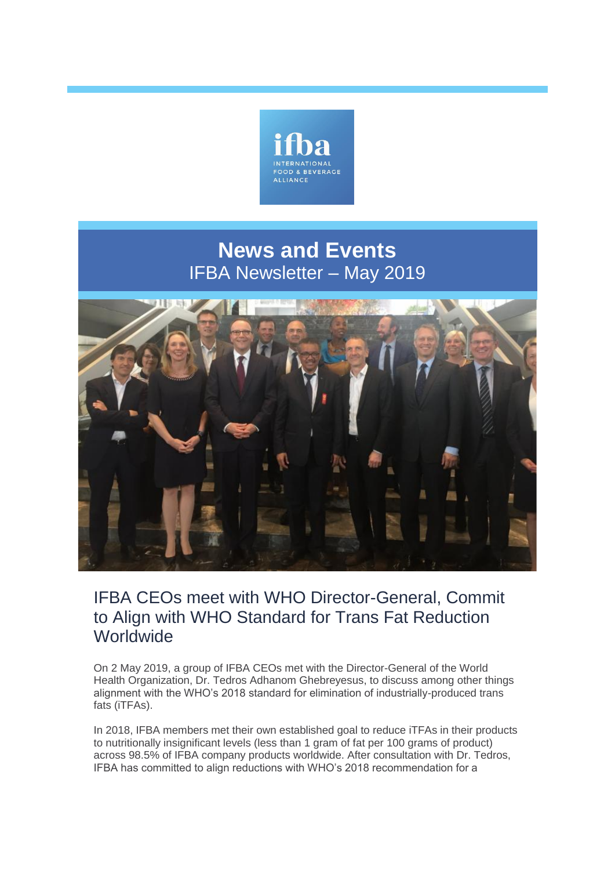

# **News and Events** IFBA Newsletter – May 2019



## IFBA CEOs meet with WHO Director-General, Commit to Align with WHO Standard for Trans Fat Reduction **Worldwide**

On 2 May 2019, a group of IFBA CEOs met with the Director-General of the World Health Organization, Dr. Tedros Adhanom Ghebreyesus, to discuss among other things alignment with the WHO's 2018 standard for elimination of industrially-produced trans fats (iTFAs).

In 2018, IFBA members met their own established goal to reduce iTFAs in their products to nutritionally insignificant levels (less than 1 gram of fat per 100 grams of product) across 98.5% of IFBA company products worldwide. After consultation with Dr. Tedros, IFBA has committed to align reductions with WHO's 2018 recommendation for a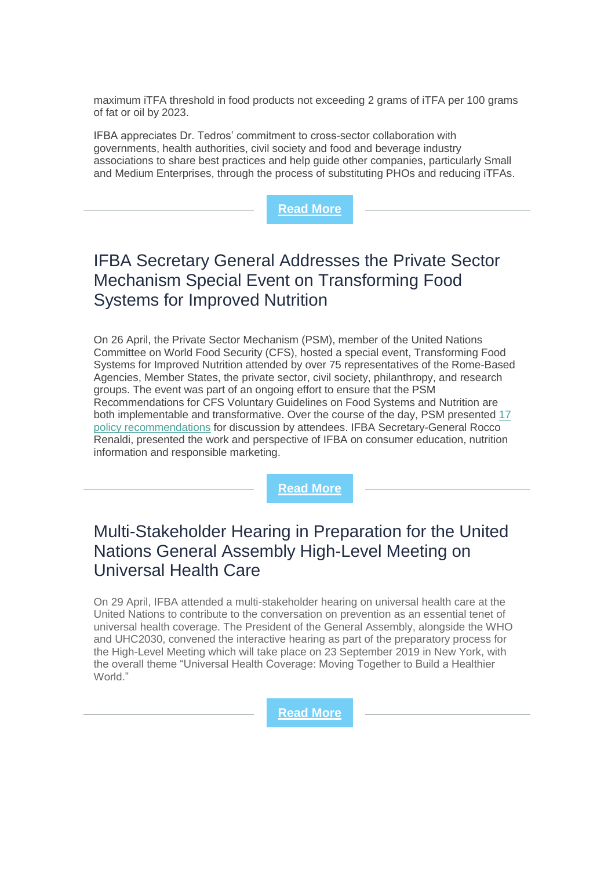maximum iTFA threshold in food products not exceeding 2 grams of iTFA per 100 grams of fat or oil by 2023.

IFBA appreciates Dr. Tedros' commitment to cross-sector collaboration with governments, health authorities, civil society and food and beverage industry associations to share best practices and help guide other companies, particularly Small and Medium Enterprises, through the process of substituting PHOs and reducing iTFAs.



# IFBA Secretary General Addresses the Private Sector Mechanism Special Event on Transforming Food Systems for Improved Nutrition

On 26 April, the Private Sector Mechanism (PSM), member of the United Nations Committee on World Food Security (CFS), hosted a special event, Transforming Food Systems for Improved Nutrition attended by over 75 representatives of the Rome-Based Agencies, Member States, the private sector, civil society, philanthropy, and research groups. The event was part of an ongoing effort to ensure that the PSM Recommendations for CFS Voluntary Guidelines on Food Systems and Nutrition are both implementable and transformative. Over the course of the day, PSM presented [17](https://agrifood.net/documents/nutrition/345-psm-policy-recommendations-food-system-and-nutrition-guidelines/file)  [policy recommendations](https://agrifood.net/documents/nutrition/345-psm-policy-recommendations-food-system-and-nutrition-guidelines/file) for discussion by attendees. IFBA Secretary-General Rocco Renaldi, presented the work and perspective of IFBA on consumer education, nutrition information and responsible marketing.

**[Read More](http://www.fao.org/fileadmin/templates/cfs/Docs1819/Nutrition/CFS_Zero_Draft_Voluntary_Guidelines_Food_Systems_and_Nutrition.pdf)**

## Multi-Stakeholder Hearing in Preparation for the United Nations General Assembly High-Level Meeting on Universal Health Care

On 29 April, IFBA attended a multi-stakeholder hearing on universal health care at the United Nations to contribute to the conversation on prevention as an essential tenet of universal health coverage. The President of the General Assembly, alongside the WHO and UHC2030, convened the interactive hearing as part of the preparatory process for the High-Level Meeting which will take place on 23 September 2019 in New York, with the overall theme "Universal Health Coverage: Moving Together to Build a Healthier World."

**[Read More](https://www.uhc2030.org/news-events/uhc2030-events/multi-stakeholder-hearing-in-preparation-for-the-united-nations-general-assembly-high-level-meeting-on-uhc-542996/)**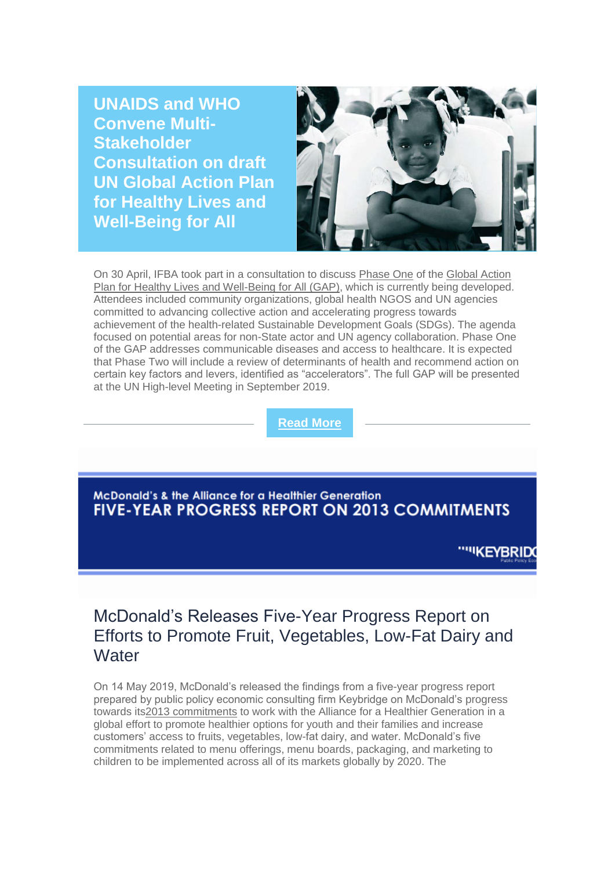**UNAIDS and WHO Convene Multi-Stakeholder Consultation on draft UN Global Action Plan for Healthy Lives and Well-Being for All**



On 30 April, IFBA took part in a consultation to discuss [Phase One](https://apps.who.int/iris/bitstream/handle/10665/311667/WHO-DCO-2018.3-eng.pdf) of the [Global Action](https://www.who.int/sdg/global-action-plan)  [Plan for Healthy Lives and Well-Being for All \(GAP\),](https://www.who.int/sdg/global-action-plan) which is currently being developed. Attendees included community organizations, global health NGOS and UN agencies committed to advancing collective action and accelerating progress towards achievement of the health-related Sustainable Development Goals (SDGs). The agenda focused on potential areas for non-State actor and UN agency collaboration. Phase One of the GAP addresses communicable diseases and access to healthcare. It is expected that Phase Two will include a review of determinants of health and recommend action on certain key factors and levers, identified as "accelerators". The full GAP will be presented at the UN High-level Meeting in September 2019.

**[Read More](https://www.who.int/docs/default-source/global-action-plan/draft-meeting-report-for-comment-gap-consultation-8-may-2019.pdf?sfvrsn=9ac1c869_2)**

**McDonald's & the Alliance for a Healthier Generation FIVE-YEAR PROGRESS REPORT ON 2013 COMMITMENTS** 

""KEYBRIDG

#### McDonald's Releases Five-Year Progress Report on Efforts to Promote Fruit, Vegetables, Low-Fat Dairy and **Water**

On 14 May 2019, McDonald's released the findings from a five-year progress report prepared by public policy economic consulting firm Keybridge on McDonald's progress towards it[s2013 commitments](https://www.healthiergeneration.org/articles/alliance-and-mcdonalds-announce-groundbreaking-cgi-commitment-to-promote-balanced-food-and) to work with the Alliance for a Healthier Generation in a global effort to promote healthier options for youth and their families and increase customers' access to fruits, vegetables, low-fat dairy, and water. McDonald's five commitments related to menu offerings, menu boards, packaging, and marketing to children to be implemented across all of its markets globally by 2020. The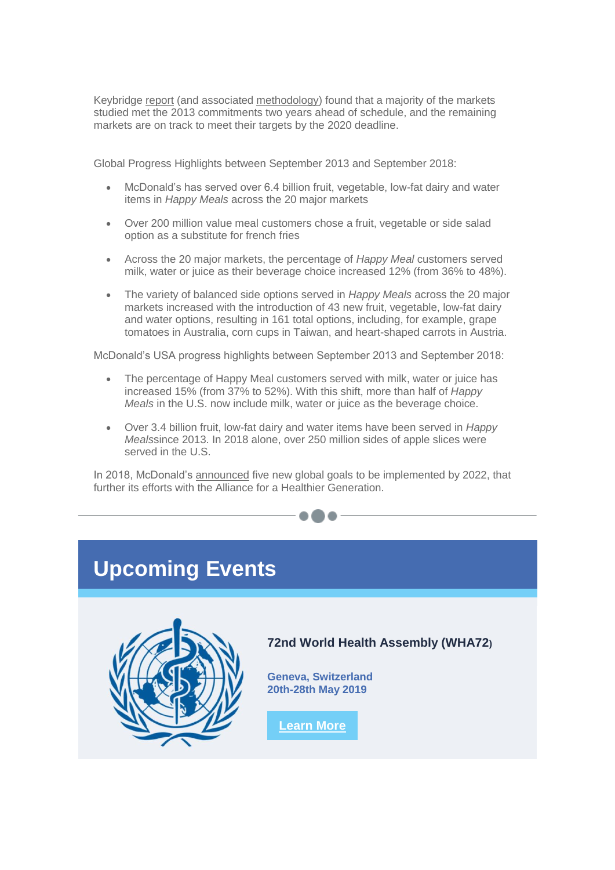Keybridge [report](https://www.healthiergeneration.org/our-work/businesses/impact/mcdonalds-commitment/five-year-interactive-report) (and associated [methodology\)](https://corporate.mcdonalds.com/content/dam/gwscorp/scale-for-good/McD_AHG_Detailed_Methodology.pdf) found that a majority of the markets studied met the 2013 commitments two years ahead of schedule, and the remaining markets are on track to meet their targets by the 2020 deadline.

Global Progress Highlights between September 2013 and September 2018:

- McDonald's has served over 6.4 billion fruit, vegetable, low-fat dairy and water items in *Happy Meals* across the 20 major markets
- Over 200 million value meal customers chose a fruit, vegetable or side salad option as a substitute for french fries
- Across the 20 major markets, the percentage of *Happy Meal* customers served milk, water or juice as their beverage choice increased 12% (from 36% to 48%).
- The variety of balanced side options served in *Happy Meals* across the 20 major markets increased with the introduction of 43 new fruit, vegetable, low-fat dairy and water options, resulting in 161 total options, including, for example, grape tomatoes in Australia, corn cups in Taiwan, and heart-shaped carrots in Austria.

McDonald's USA progress highlights between September 2013 and September 2018:

- The percentage of Happy Meal customers served with milk, water or juice has increased 15% (from 37% to 52%). With this shift, more than half of *Happy Meals* in the U.S. now include milk, water or juice as the beverage choice.
- Over 3.4 billion fruit, low-fat dairy and water items have been served in *Happy Meals*since 2013. In 2018 alone, over 250 million sides of apple slices were served in the U.S.

In 2018, McDonald's [announced](https://news.mcdonalds.com/news-releases/news-release-details/mcdonalds-announces-global-commitment-support-families-0) five new global goals to be implemented by 2022, that further its efforts with the Alliance for a Healthier Generation.





**72nd World Health Assembly (WHA72)**

**Geneva, Switzerland 20th-28th May 2019**

**[Learn More](http://apps.who.int/gb/e/e_wha72.html)**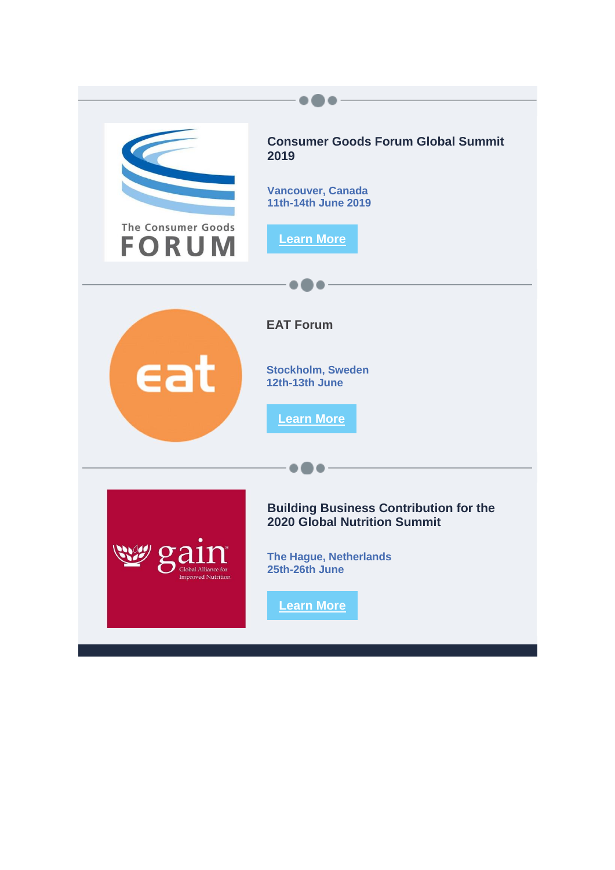